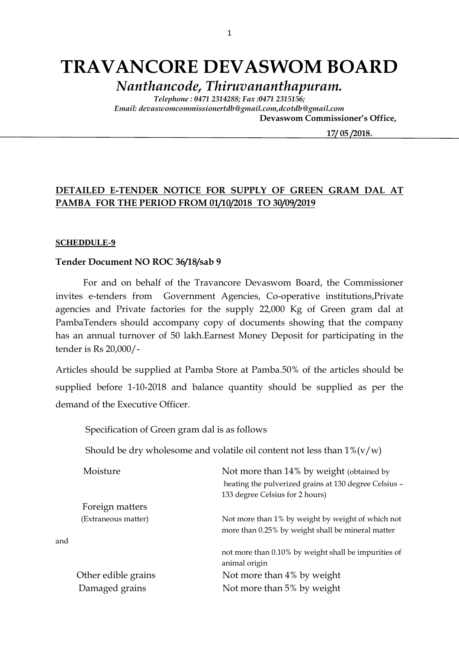# **TRAVANCORE DEVASWOM BOARD**

*Nanthancode, Thiruvananthapuram.*

*Telephone : 0471 2314288; Fax :0471 2315156; Email: devaswomcommissionertdb@gmail.com,dcotdb@gmail.com*  **Devaswom Commissioner's Office,**

 **17/ 05 /2018.**

**DETAILED E-TENDER NOTICE FOR SUPPLY OF GREEN GRAM DAL AT PAMBA FOR THE PERIOD FROM 01/10/2018 TO 30/09/2019**

#### **SCHEDDULE-9**

#### **Tender Document NO ROC 36/18/sab 9**

For and on behalf of the Travancore Devaswom Board, the Commissioner invites e-tenders from Government Agencies, Co-operative institutions,Private agencies and Private factories for the supply 22,000 Kg of Green gram dal at PambaTenders should accompany copy of documents showing that the company has an annual turnover of 50 lakh.Earnest Money Deposit for participating in the tender is Rs 20,000/-

Articles should be supplied at Pamba Store at Pamba.50% of the articles should be supplied before 1-10-2018 and balance quantity should be supplied as per the demand of the Executive Officer.

Specification of Green gram dal is as follows

Should be dry wholesome and volatile oil content not less than  $1\% (v/w)$ 

| Moisture            | Not more than 14% by weight (obtained by                                                               |
|---------------------|--------------------------------------------------------------------------------------------------------|
|                     | heating the pulverized grains at 130 degree Celsius -                                                  |
|                     | 133 degree Celsius for 2 hours)                                                                        |
| Foreign matters     |                                                                                                        |
| (Extraneous matter) | Not more than 1% by weight by weight of which not<br>more than 0.25% by weight shall be mineral matter |
| and                 |                                                                                                        |
|                     | not more than 0.10% by weight shall be impurities of<br>animal origin                                  |
| Other edible grains | Not more than 4% by weight                                                                             |
| Damaged grains      | Not more than 5% by weight                                                                             |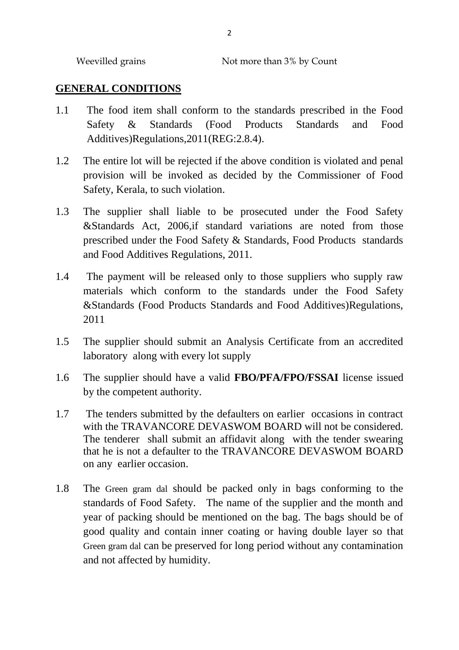Weevilled grains Not more than 3% by Count

### **GENERAL CONDITIONS**

- 1.1 The food item shall conform to the standards prescribed in the Food Safety & Standards (Food Products Standards and Food Additives)Regulations,2011(REG:2.8.4).
- 1.2 The entire lot will be rejected if the above condition is violated and penal provision will be invoked as decided by the Commissioner of Food Safety, Kerala, to such violation.
- 1.3 The supplier shall liable to be prosecuted under the Food Safety &Standards Act, 2006,if standard variations are noted from those prescribed under the Food Safety & Standards, Food Products standards and Food Additives Regulations, 2011.
- 1.4 The payment will be released only to those suppliers who supply raw materials which conform to the standards under the Food Safety &Standards (Food Products Standards and Food Additives)Regulations, 2011
- 1.5 The supplier should submit an Analysis Certificate from an accredited laboratory along with every lot supply
- 1.6 The supplier should have a valid **FBO/PFA/FPO/FSSAI** license issued by the competent authority.
- 1.7 The tenders submitted by the defaulters on earlier occasions in contract with the TRAVANCORE DEVASWOM BOARD will not be considered. The tenderer shall submit an affidavit along with the tender swearing that he is not a defaulter to the TRAVANCORE DEVASWOM BOARD on any earlier occasion.
- 1.8 The Green gram dal should be packed only in bags conforming to the standards of Food Safety. The name of the supplier and the month and year of packing should be mentioned on the bag. The bags should be of good quality and contain inner coating or having double layer so that Green gram dal can be preserved for long period without any contamination and not affected by humidity.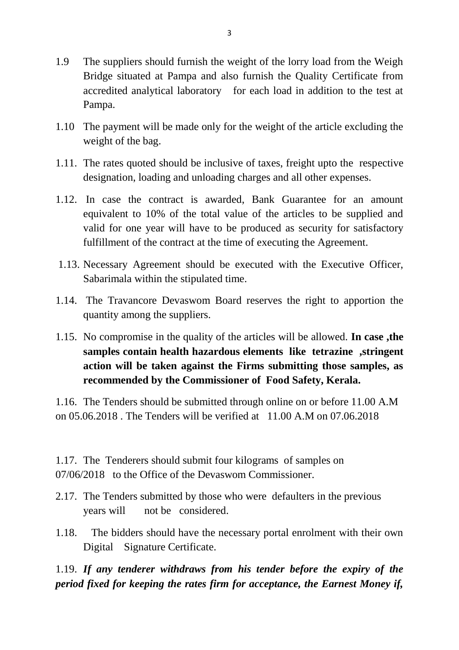- 1.9 The suppliers should furnish the weight of the lorry load from the Weigh Bridge situated at Pampa and also furnish the Quality Certificate from accredited analytical laboratory for each load in addition to the test at Pampa.
- 1.10 The payment will be made only for the weight of the article excluding the weight of the bag.
- 1.11. The rates quoted should be inclusive of taxes, freight upto the respective designation, loading and unloading charges and all other expenses.
- 1.12. In case the contract is awarded, Bank Guarantee for an amount equivalent to 10% of the total value of the articles to be supplied and valid for one year will have to be produced as security for satisfactory fulfillment of the contract at the time of executing the Agreement.
- 1.13. Necessary Agreement should be executed with the Executive Officer, Sabarimala within the stipulated time.
- 1.14. The Travancore Devaswom Board reserves the right to apportion the quantity among the suppliers.
- 1.15. No compromise in the quality of the articles will be allowed. **In case ,the samples contain health hazardous elements like tetrazine ,stringent action will be taken against the Firms submitting those samples, as recommended by the Commissioner of Food Safety, Kerala.**

1.16. The Tenders should be submitted through online on or before 11.00 A.M on 05.06.2018 . The Tenders will be verified at 11.00 A.M on 07.06.2018

1.17. The Tenderers should submit four kilograms of samples on 07/06/2018 to the Office of the Devaswom Commissioner.

- 2.17. The Tenders submitted by those who were defaulters in the previous years will not be considered.
- 1.18. The bidders should have the necessary portal enrolment with their own Digital Signature Certificate.

1.19. *If any tenderer withdraws from his tender before the expiry of the period fixed for keeping the rates firm for acceptance, the Earnest Money if,*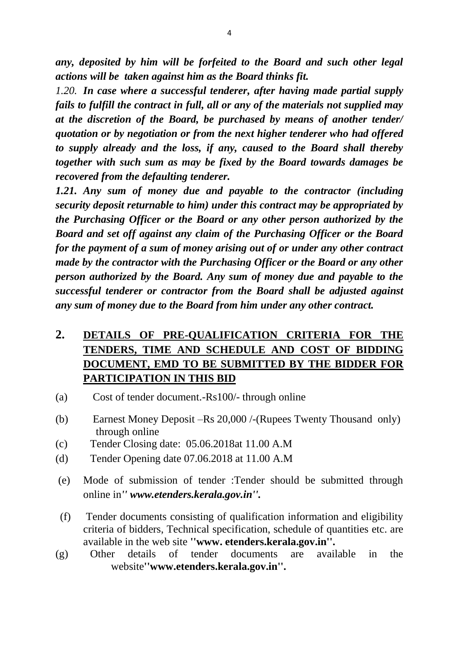*any, deposited by him will be forfeited to the Board and such other legal actions will be taken against him as the Board thinks fit.*

*1.20. In case where a successful tenderer, after having made partial supply fails to fulfill the contract in full, all or any of the materials not supplied may at the discretion of the Board, be purchased by means of another tender/ quotation or by negotiation or from the next higher tenderer who had offered to supply already and the loss, if any, caused to the Board shall thereby together with such sum as may be fixed by the Board towards damages be recovered from the defaulting tenderer.*

*1.21. Any sum of money due and payable to the contractor (including security deposit returnable to him) under this contract may be appropriated by the Purchasing Officer or the Board or any other person authorized by the Board and set off against any claim of the Purchasing Officer or the Board for the payment of a sum of money arising out of or under any other contract made by the contractor with the Purchasing Officer or the Board or any other person authorized by the Board. Any sum of money due and payable to the successful tenderer or contractor from the Board shall be adjusted against any sum of money due to the Board from him under any other contract.*

# **2. DETAILS OF PRE-QUALIFICATION CRITERIA FOR THE TENDERS, TIME AND SCHEDULE AND COST OF BIDDING DOCUMENT, EMD TO BE SUBMITTED BY THE BIDDER FOR PARTICIPATION IN THIS BID**

- (a) Cost of tender document.-Rs100/- through online
- (b) Earnest Money Deposit –Rs 20,000 /-(Rupees Twenty Thousand only) through online
- (c) Tender Closing date: 05.06.2018at 11.00 A.M
- (d) Tender Opening date 07.06.2018 at 11.00 A.M
- (e) Mode of submission of tender :Tender should be submitted through online in*'' www.etenders.kerala.gov.in''.*
- (f) Tender documents consisting of qualification information and eligibility criteria of bidders, Technical specification, schedule of quantities etc. are available in the web site **''www. etenders.kerala.gov.in''.**
- (g) Other details of tender documents are available in the website**''www.etenders.kerala.gov.in''.**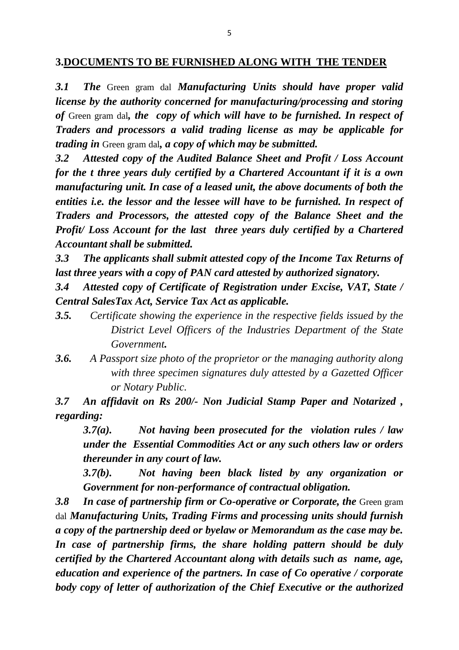#### **3.DOCUMENTS TO BE FURNISHED ALONG WITH THE TENDER**

*3.1 The* Green gram dal *Manufacturing Units should have proper valid license by the authority concerned for manufacturing/processing and storing of* Green gram dal*, the copy of which will have to be furnished. In respect of Traders and processors a valid trading license as may be applicable for trading in* Green gram dal*, a copy of which may be submitted.*

*3.2 Attested copy of the Audited Balance Sheet and Profit / Loss Account for the t three years duly certified by a Chartered Accountant if it is a own manufacturing unit. In case of a leased unit, the above documents of both the entities i.e. the lessor and the lessee will have to be furnished. In respect of Traders and Processors, the attested copy of the Balance Sheet and the Profit/ Loss Account for the last three years duly certified by a Chartered Accountant shall be submitted.*

*3.3 The applicants shall submit attested copy of the Income Tax Returns of last three years with a copy of PAN card attested by authorized signatory.*

*3.4 Attested copy of Certificate of Registration under Excise, VAT, State / Central SalesTax Act, Service Tax Act as applicable.*

- *3.5. Certificate showing the experience in the respective fields issued by the District Level Officers of the Industries Department of the State Government.*
- *3.6. A Passport size photo of the proprietor or the managing authority along with three specimen signatures duly attested by a Gazetted Officer or Notary Public.*

*3.7 An affidavit on Rs 200/- Non Judicial Stamp Paper and Notarized , regarding:*

*3.7(a). Not having been prosecuted for the violation rules / law under the Essential Commodities Act or any such others law or orders thereunder in any court of law.*

*3.7(b). Not having been black listed by any organization or Government for non-performance of contractual obligation.*

**3.8 In case of partnership firm or Co-operative or Corporate, the Green gram** dal *Manufacturing Units, Trading Firms and processing units should furnish a copy of the partnership deed or byelaw or Memorandum as the case may be. In case of partnership firms, the share holding pattern should be duly certified by the Chartered Accountant along with details such as name, age, education and experience of the partners. In case of Co operative / corporate body copy of letter of authorization of the Chief Executive or the authorized*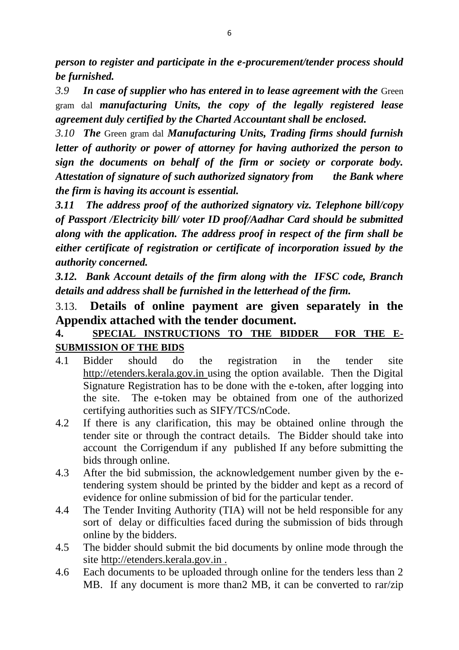*person to register and participate in the e-procurement/tender process should be furnished.*

*3.9 In case of supplier who has entered in to lease agreement with the* Green gram dal *manufacturing Units, the copy of the legally registered lease agreement duly certified by the Charted Accountant shall be enclosed.*

*3.10 The* Green gram dal *Manufacturing Units, Trading firms should furnish letter of authority or power of attorney for having authorized the person to sign the documents on behalf of the firm or society or corporate body. Attestation of signature of such authorized signatory from the Bank where the firm is having its account is essential.*

*3.11 The address proof of the authorized signatory viz. Telephone bill/copy of Passport /Electricity bill/ voter ID proof/Aadhar Card should be submitted along with the application. The address proof in respect of the firm shall be either certificate of registration or certificate of incorporation issued by the authority concerned.*

*3.12. Bank Account details of the firm along with the IFSC code, Branch details and address shall be furnished in the letterhead of the firm.*

## 3.13. **Details of online payment are given separately in the Appendix attached with the tender document.**

### **4. SPECIAL INSTRUCTIONS TO THE BIDDER FOR THE E-SUBMISSION OF THE BIDS**

- 4.1 Bidder should do the registration in the tender site http://etenders.kerala.gov.in using the option available. Then the Digital Signature Registration has to be done with the e-token, after logging into the site. The e-token may be obtained from one of the authorized certifying authorities such as SIFY/TCS/nCode.
- 4.2 If there is any clarification, this may be obtained online through the tender site or through the contract details. The Bidder should take into account the Corrigendum if any published If any before submitting the bids through online.
- 4.3 After the bid submission, the acknowledgement number given by the etendering system should be printed by the bidder and kept as a record of evidence for online submission of bid for the particular tender.
- 4.4 The Tender Inviting Authority (TIA) will not be held responsible for any sort of delay or difficulties faced during the submission of bids through online by the bidders.
- 4.5 The bidder should submit the bid documents by online mode through the site http://etenders.kerala.gov.in .
- 4.6 Each documents to be uploaded through online for the tenders less than 2 MB. If any document is more than2 MB, it can be converted to rar/zip